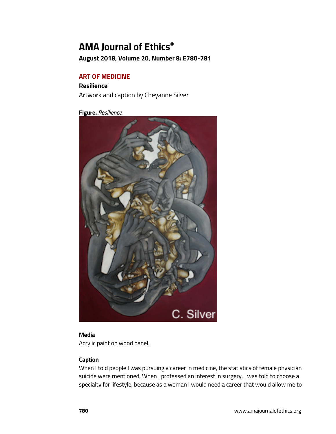# **AMA Journal of Ethics®**

**August 2018, Volume 20, Number 8: E780-781**

## **ART OF MEDICINE**

**Resilience** Artwork and caption by Cheyanne Silver

**Figure.** *Resilience*



### **Media**

Acrylic paint on wood panel.

## **Caption**

When I told people I was pursuing a career in medicine, the statistics of female physician suicide were mentioned. When I professed an interest in surgery, I was told to choose a specialty for lifestyle, because as a woman I would need a career that would allow me to